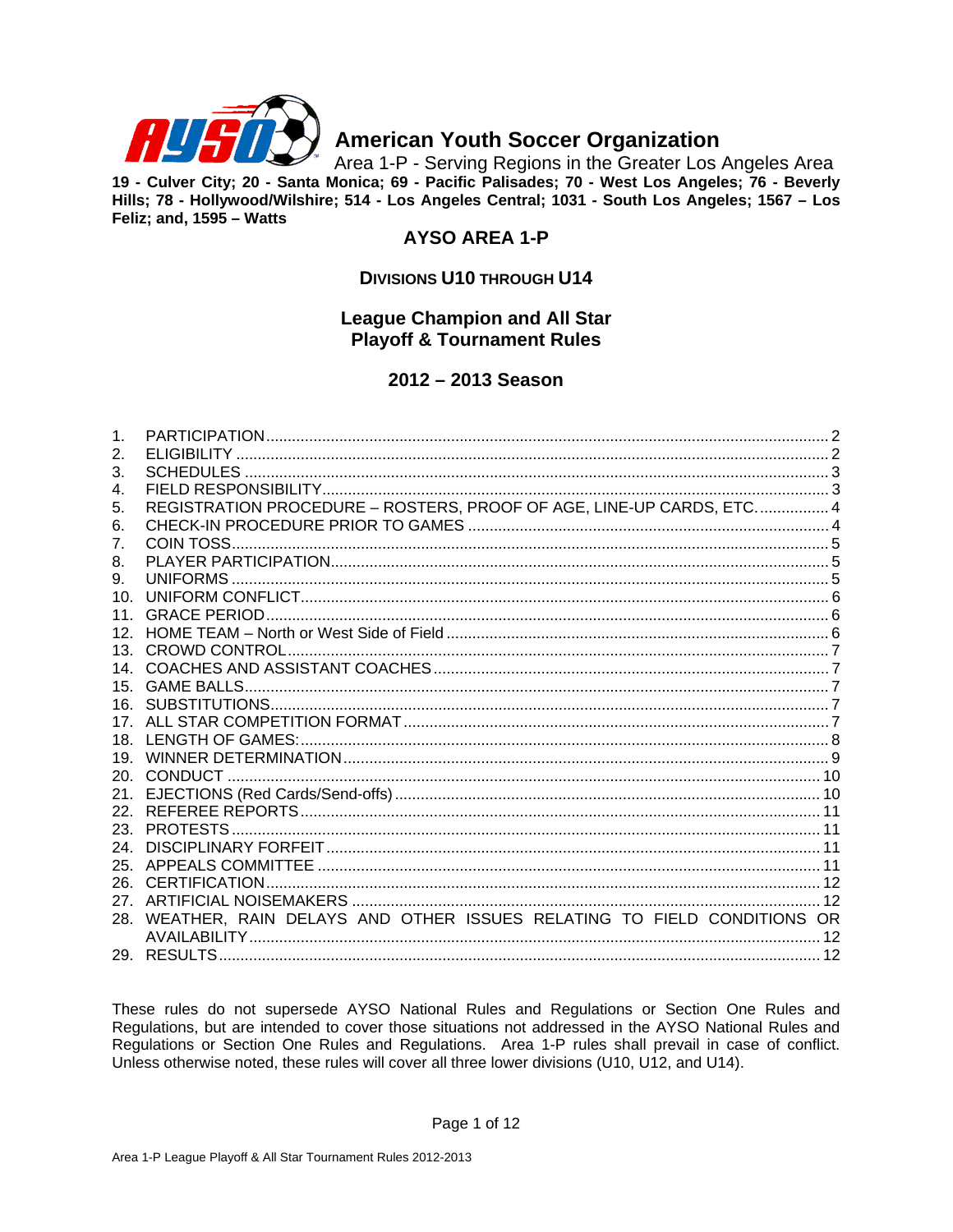

# **American Youth Soccer Organization**

Area 1-P - Serving Regions in the Greater Los Angeles Area 19 - Culver City; 20 - Santa Monica; 69 - Pacific Palisades; 70 - West Los Angeles; 76 - Beverly Hills; 78 - Hollywood/Wilshire; 514 - Los Angeles Central; 1031 - South Los Angeles; 1567 - Los Feliz; and, 1595 - Watts

# **AYSO AREA 1-P**

# **DIVISIONS U10 THROUGH U14**

# **League Champion and All Star Playoff & Tournament Rules**

# 2012 - 2013 Season

| $\mathbf{1}$ .    |                                                                       |  |
|-------------------|-----------------------------------------------------------------------|--|
| 2.                |                                                                       |  |
| 3.                |                                                                       |  |
| 4.                |                                                                       |  |
| 5.                | REGISTRATION PROCEDURE - ROSTERS, PROOF OF AGE, LINE-UP CARDS, ETC 4  |  |
| 6.                |                                                                       |  |
| 7 <sub>1</sub>    |                                                                       |  |
| 8.                |                                                                       |  |
| 9.                |                                                                       |  |
| 10 $\overline{a}$ |                                                                       |  |
| 11 <sup>1</sup>   |                                                                       |  |
| 12 <sup>7</sup>   |                                                                       |  |
| 13.               |                                                                       |  |
| 14                |                                                                       |  |
| 15 <sub>1</sub>   |                                                                       |  |
|                   |                                                                       |  |
| 17 <sub>1</sub>   |                                                                       |  |
| 18.               |                                                                       |  |
| 19.               |                                                                       |  |
| 20.               |                                                                       |  |
|                   |                                                                       |  |
| 22 <sub>1</sub>   |                                                                       |  |
| 23.               |                                                                       |  |
| 24.               |                                                                       |  |
| 25.               |                                                                       |  |
| 26.               |                                                                       |  |
| 27                |                                                                       |  |
| 28.               | WEATHER, RAIN DELAYS AND OTHER ISSUES RELATING TO FIELD CONDITIONS OR |  |
|                   |                                                                       |  |
|                   |                                                                       |  |

These rules do not supersede AYSO National Rules and Regulations or Section One Rules and Regulations, but are intended to cover those situations not addressed in the AYSO National Rules and Regulations or Section One Rules and Regulations. Area 1-P rules shall prevail in case of conflict. Unless otherwise noted, these rules will cover all three lower divisions (U10, U12, and U14).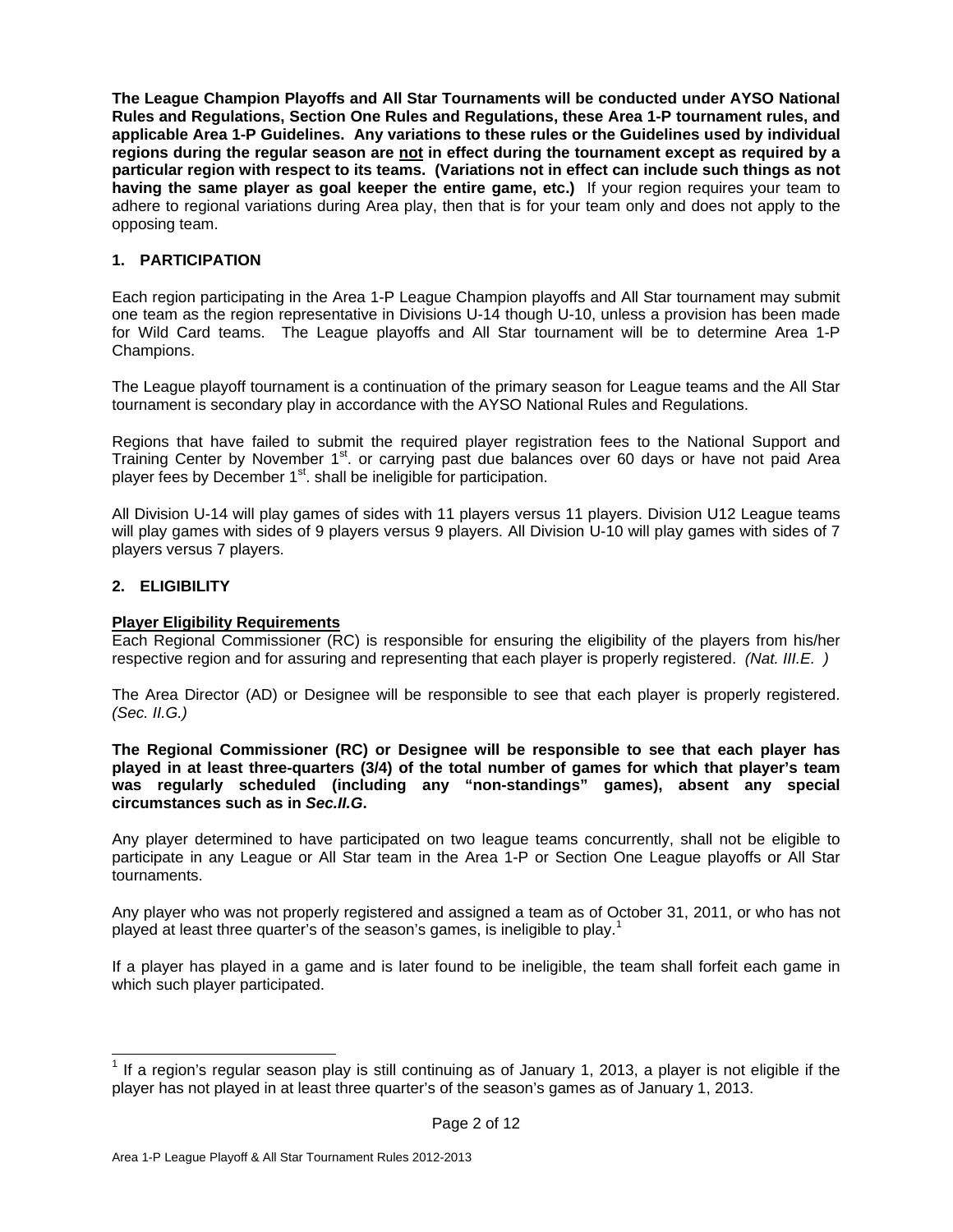**The League Champion Playoffs and All Star Tournaments will be conducted under AYSO National Rules and Regulations, Section One Rules and Regulations, these Area 1-P tournament rules, and applicable Area 1-P Guidelines. Any variations to these rules or the Guidelines used by individual regions during the regular season are not in effect during the tournament except as required by a particular region with respect to its teams. (Variations not in effect can include such things as not having the same player as goal keeper the entire game, etc.)** If your region requires your team to adhere to regional variations during Area play, then that is for your team only and does not apply to the opposing team.

# **1. PARTICIPATION**

Each region participating in the Area 1-P League Champion playoffs and All Star tournament may submit one team as the region representative in Divisions U-14 though U-10, unless a provision has been made for Wild Card teams. The League playoffs and All Star tournament will be to determine Area 1-P Champions.

The League playoff tournament is a continuation of the primary season for League teams and the All Star tournament is secondary play in accordance with the AYSO National Rules and Regulations.

Regions that have failed to submit the required player registration fees to the National Support and Training Center by November 1<sup>st</sup>. or carrying past due balances over 60 days or have not paid Area player fees by December  $1<sup>st</sup>$ . shall be ineligible for participation.

All Division U-14 will play games of sides with 11 players versus 11 players. Division U12 League teams will play games with sides of 9 players versus 9 players. All Division U-10 will play games with sides of 7 players versus 7 players.

# **2. ELIGIBILITY**

 $\overline{\phantom{a}}$ 

# **Player Eligibility Requirements**

Each Regional Commissioner (RC) is responsible for ensuring the eligibility of the players from his/her respective region and for assuring and representing that each player is properly registered. *(Nat. III.E. )*

The Area Director (AD) or Designee will be responsible to see that each player is properly registered. *(Sec. II.G.)*

**The Regional Commissioner (RC) or Designee will be responsible to see that each player has played in at least three-quarters (3/4) of the total number of games for which that player's team was regularly scheduled (including any "non-standings" games), absent any special circumstances such as in** *Sec.II.G***.** 

Any player determined to have participated on two league teams concurrently, shall not be eligible to participate in any League or All Star team in the Area 1-P or Section One League playoffs or All Star tournaments.

Any player who was not properly registered and assigned a team as of October 31, 2011, or who has not played at least three quarter's of the season's games, is ineligible to play.<sup>1</sup>

If a player has played in a game and is later found to be ineligible, the team shall forfeit each game in which such player participated.

<sup>&</sup>lt;sup>1</sup> If a region's regular season play is still continuing as of January 1, 2013, a player is not eligible if the player has not played in at least three quarter's of the season's games as of January 1, 2013.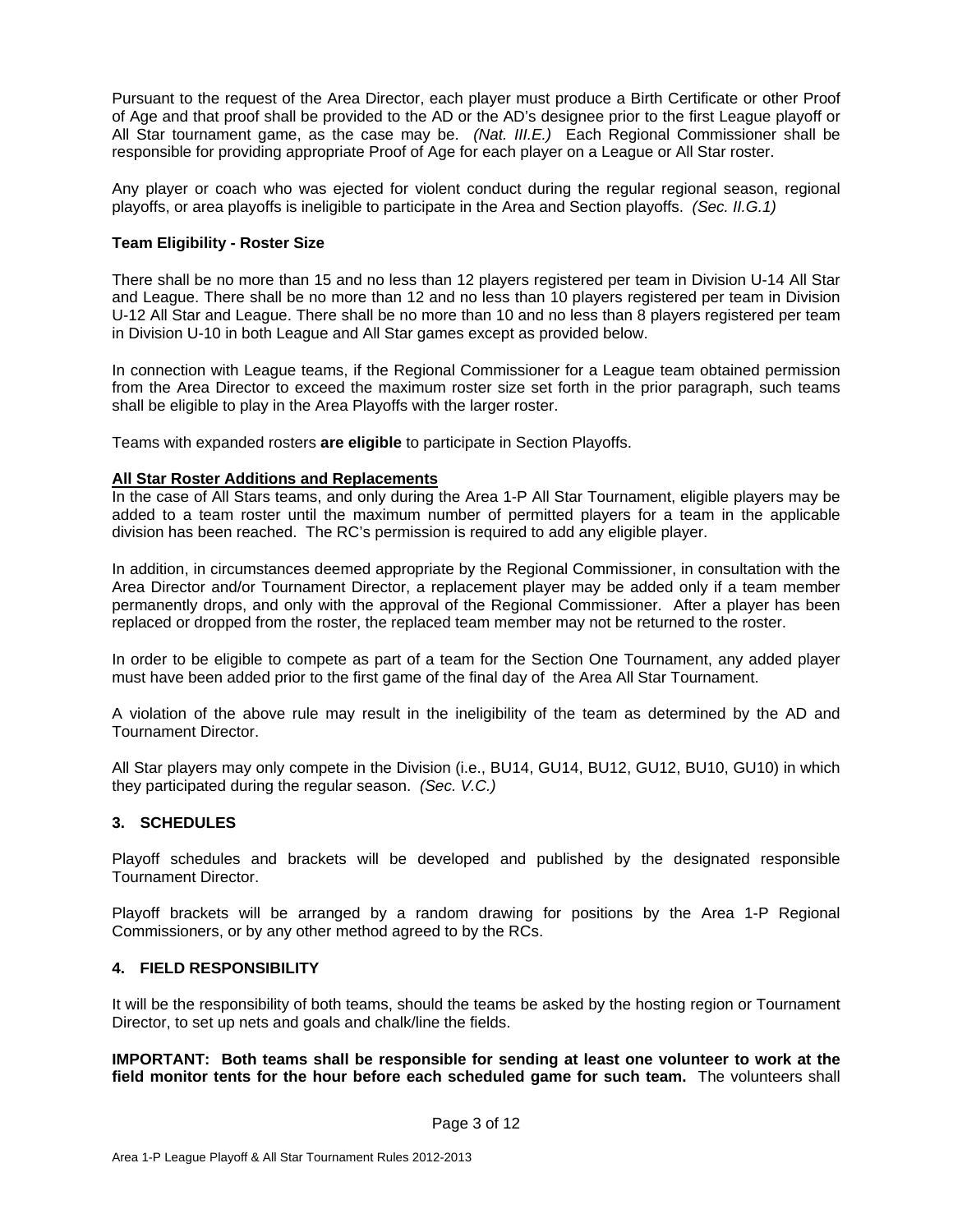Pursuant to the request of the Area Director, each player must produce a Birth Certificate or other Proof of Age and that proof shall be provided to the AD or the AD's designee prior to the first League playoff or All Star tournament game, as the case may be. *(Nat. III.E.)* Each Regional Commissioner shall be responsible for providing appropriate Proof of Age for each player on a League or All Star roster.

Any player or coach who was ejected for violent conduct during the regular regional season, regional playoffs, or area playoffs is ineligible to participate in the Area and Section playoffs. *(Sec. II.G.1)* 

#### **Team Eligibility - Roster Size**

There shall be no more than 15 and no less than 12 players registered per team in Division U-14 All Star and League. There shall be no more than 12 and no less than 10 players registered per team in Division U-12 All Star and League. There shall be no more than 10 and no less than 8 players registered per team in Division U-10 in both League and All Star games except as provided below.

In connection with League teams, if the Regional Commissioner for a League team obtained permission from the Area Director to exceed the maximum roster size set forth in the prior paragraph, such teams shall be eligible to play in the Area Playoffs with the larger roster.

Teams with expanded rosters **are eligible** to participate in Section Playoffs.

#### **All Star Roster Additions and Replacements**

In the case of All Stars teams, and only during the Area 1-P All Star Tournament, eligible players may be added to a team roster until the maximum number of permitted players for a team in the applicable division has been reached. The RC's permission is required to add any eligible player.

In addition, in circumstances deemed appropriate by the Regional Commissioner, in consultation with the Area Director and/or Tournament Director, a replacement player may be added only if a team member permanently drops, and only with the approval of the Regional Commissioner. After a player has been replaced or dropped from the roster, the replaced team member may not be returned to the roster.

In order to be eligible to compete as part of a team for the Section One Tournament, any added player must have been added prior to the first game of the final day of the Area All Star Tournament.

A violation of the above rule may result in the ineligibility of the team as determined by the AD and Tournament Director.

All Star players may only compete in the Division (i.e., BU14, GU14, BU12, GU12, BU10, GU10) in which they participated during the regular season. *(Sec. V.C.)* 

# **3. SCHEDULES**

Playoff schedules and brackets will be developed and published by the designated responsible Tournament Director.

Playoff brackets will be arranged by a random drawing for positions by the Area 1-P Regional Commissioners, or by any other method agreed to by the RCs.

#### **4. FIELD RESPONSIBILITY**

It will be the responsibility of both teams, should the teams be asked by the hosting region or Tournament Director, to set up nets and goals and chalk/line the fields.

**IMPORTANT: Both teams shall be responsible for sending at least one volunteer to work at the field monitor tents for the hour before each scheduled game for such team.** The volunteers shall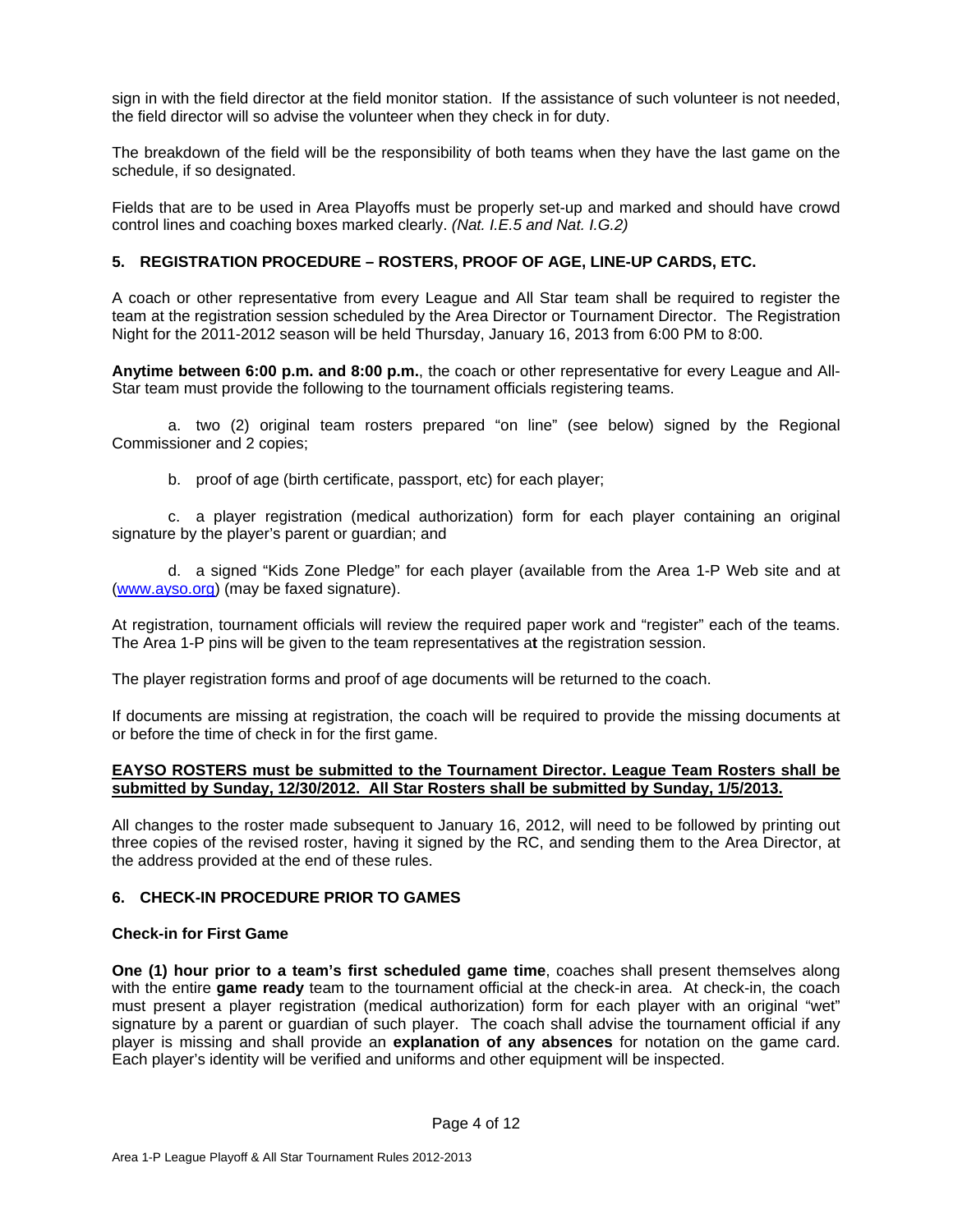sign in with the field director at the field monitor station. If the assistance of such volunteer is not needed, the field director will so advise the volunteer when they check in for duty.

The breakdown of the field will be the responsibility of both teams when they have the last game on the schedule, if so designated.

Fields that are to be used in Area Playoffs must be properly set-up and marked and should have crowd control lines and coaching boxes marked clearly. *(Nat. I.E.5 and Nat. I.G.2)*

#### **5. REGISTRATION PROCEDURE – ROSTERS, PROOF OF AGE, LINE-UP CARDS, ETC.**

A coach or other representative from every League and All Star team shall be required to register the team at the registration session scheduled by the Area Director or Tournament Director. The Registration Night for the 2011-2012 season will be held Thursday, January 16, 2013 from 6:00 PM to 8:00.

**Anytime between 6:00 p.m. and 8:00 p.m.**, the coach or other representative for every League and All-Star team must provide the following to the tournament officials registering teams.

a. two (2) original team rosters prepared "on line" (see below) signed by the Regional Commissioner and 2 copies;

b. proof of age (birth certificate, passport, etc) for each player;

c. a player registration (medical authorization) form for each player containing an original signature by the player's parent or guardian; and

d. a signed "Kids Zone Pledge" for each player (available from the Area 1-P Web site and at (www.ayso.org) (may be faxed signature).

At registration, tournament officials will review the required paper work and "register" each of the teams. The Area 1-P pins will be given to the team representatives a**t** the registration session.

The player registration forms and proof of age documents will be returned to the coach.

If documents are missing at registration, the coach will be required to provide the missing documents at or before the time of check in for the first game.

#### **EAYSO ROSTERS must be submitted to the Tournament Director. League Team Rosters shall be submitted by Sunday, 12/30/2012. All Star Rosters shall be submitted by Sunday, 1/5/2013.**

All changes to the roster made subsequent to January 16, 2012, will need to be followed by printing out three copies of the revised roster, having it signed by the RC, and sending them to the Area Director, at the address provided at the end of these rules.

# **6. CHECK-IN PROCEDURE PRIOR TO GAMES**

#### **Check-in for First Game**

**One (1) hour prior to a team's first scheduled game time**, coaches shall present themselves along with the entire **game ready** team to the tournament official at the check-in area. At check-in, the coach must present a player registration (medical authorization) form for each player with an original "wet" signature by a parent or guardian of such player. The coach shall advise the tournament official if any player is missing and shall provide an **explanation of any absences** for notation on the game card. Each player's identity will be verified and uniforms and other equipment will be inspected.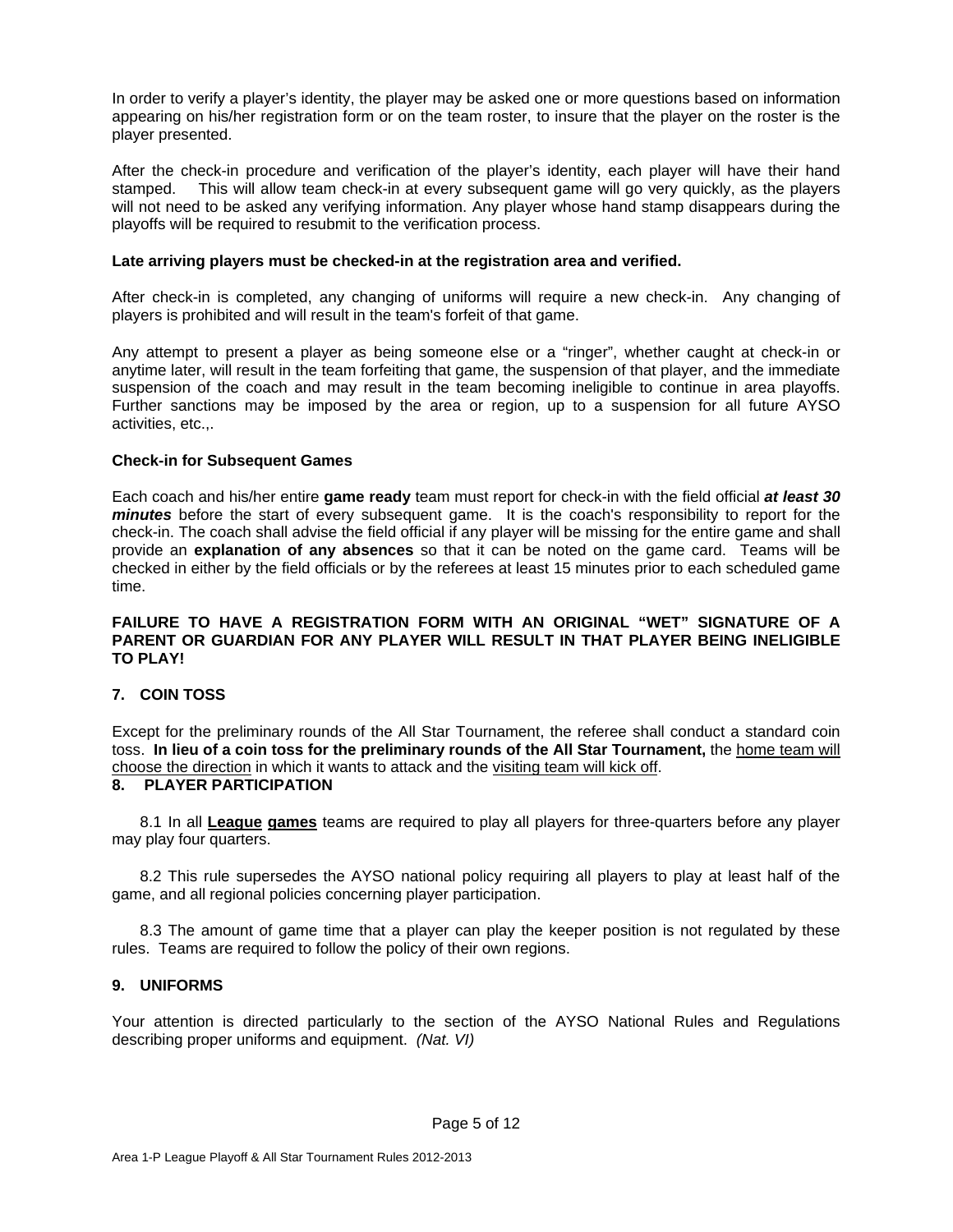In order to verify a player's identity, the player may be asked one or more questions based on information appearing on his/her registration form or on the team roster, to insure that the player on the roster is the player presented.

After the check-in procedure and verification of the player's identity, each player will have their hand stamped. This will allow team check-in at every subsequent game will go very quickly, as the players will not need to be asked any verifying information. Any player whose hand stamp disappears during the playoffs will be required to resubmit to the verification process.

#### **Late arriving players must be checked-in at the registration area and verified.**

After check-in is completed, any changing of uniforms will require a new check-in. Any changing of players is prohibited and will result in the team's forfeit of that game.

Any attempt to present a player as being someone else or a "ringer", whether caught at check-in or anytime later, will result in the team forfeiting that game, the suspension of that player, and the immediate suspension of the coach and may result in the team becoming ineligible to continue in area playoffs. Further sanctions may be imposed by the area or region, up to a suspension for all future AYSO activities, etc.,.

#### **Check-in for Subsequent Games**

Each coach and his/her entire **game ready** team must report for check-in with the field official *at least 30 minutes* before the start of every subsequent game. It is the coach's responsibility to report for the check-in. The coach shall advise the field official if any player will be missing for the entire game and shall provide an **explanation of any absences** so that it can be noted on the game card. Teams will be checked in either by the field officials or by the referees at least 15 minutes prior to each scheduled game time.

#### **FAILURE TO HAVE A REGISTRATION FORM WITH AN ORIGINAL "WET" SIGNATURE OF A PARENT OR GUARDIAN FOR ANY PLAYER WILL RESULT IN THAT PLAYER BEING INELIGIBLE TO PLAY!**

# **7. COIN TOSS**

Except for the preliminary rounds of the All Star Tournament, the referee shall conduct a standard coin toss. **In lieu of a coin toss for the preliminary rounds of the All Star Tournament,** the home team will choose the direction in which it wants to attack and the visiting team will kick off.

### **8. PLAYER PARTICIPATION**

8.1 In all **League games** teams are required to play all players for three-quarters before any player may play four quarters.

8.2 This rule supersedes the AYSO national policy requiring all players to play at least half of the game, and all regional policies concerning player participation.

8.3 The amount of game time that a player can play the keeper position is not regulated by these rules. Teams are required to follow the policy of their own regions.

#### **9. UNIFORMS**

Your attention is directed particularly to the section of the AYSO National Rules and Regulations describing proper uniforms and equipment. *(Nat. VI)*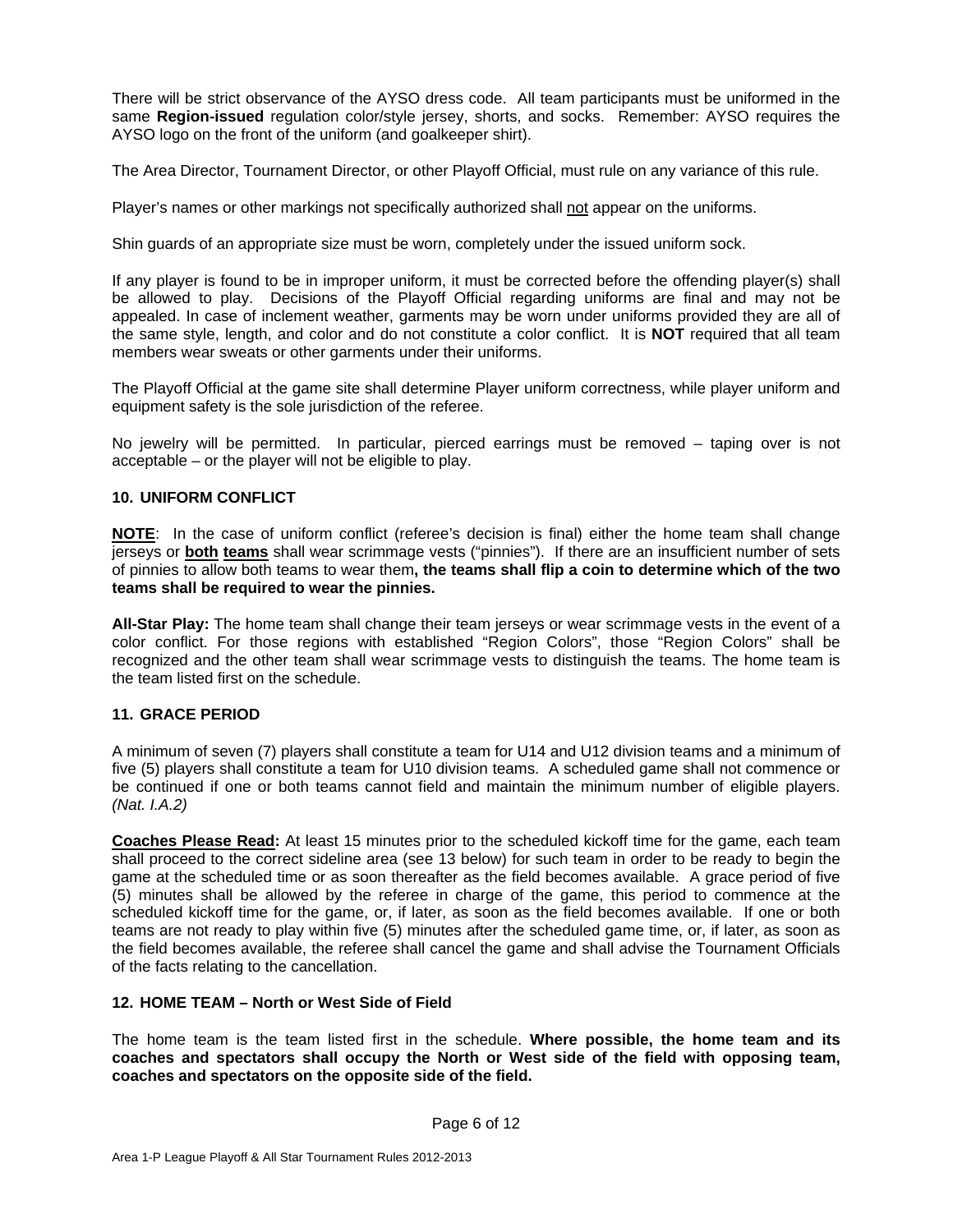There will be strict observance of the AYSO dress code. All team participants must be uniformed in the same **Region-issued** regulation color/style jersey, shorts, and socks. Remember: AYSO requires the AYSO logo on the front of the uniform (and goalkeeper shirt).

The Area Director, Tournament Director, or other Playoff Official, must rule on any variance of this rule.

Player's names or other markings not specifically authorized shall not appear on the uniforms.

Shin guards of an appropriate size must be worn, completely under the issued uniform sock.

If any player is found to be in improper uniform, it must be corrected before the offending player(s) shall be allowed to play. Decisions of the Playoff Official regarding uniforms are final and may not be appealed. In case of inclement weather, garments may be worn under uniforms provided they are all of the same style, length, and color and do not constitute a color conflict. It is **NOT** required that all team members wear sweats or other garments under their uniforms.

The Playoff Official at the game site shall determine Player uniform correctness, while player uniform and equipment safety is the sole jurisdiction of the referee.

No jewelry will be permitted. In particular, pierced earrings must be removed – taping over is not acceptable – or the player will not be eligible to play.

#### **10. UNIFORM CONFLICT**

**NOTE**: In the case of uniform conflict (referee's decision is final) either the home team shall change jerseys or **both teams** shall wear scrimmage vests ("pinnies"). If there are an insufficient number of sets of pinnies to allow both teams to wear them**, the teams shall flip a coin to determine which of the two teams shall be required to wear the pinnies.** 

**All-Star Play:** The home team shall change their team jerseys or wear scrimmage vests in the event of a color conflict. For those regions with established "Region Colors", those "Region Colors" shall be recognized and the other team shall wear scrimmage vests to distinguish the teams. The home team is the team listed first on the schedule.

# **11. GRACE PERIOD**

A minimum of seven (7) players shall constitute a team for U14 and U12 division teams and a minimum of five (5) players shall constitute a team for U10 division teams. A scheduled game shall not commence or be continued if one or both teams cannot field and maintain the minimum number of eligible players. *(Nat. I.A.2)*

**Coaches Please Read:** At least 15 minutes prior to the scheduled kickoff time for the game, each team shall proceed to the correct sideline area (see 13 below) for such team in order to be ready to begin the game at the scheduled time or as soon thereafter as the field becomes available. A grace period of five (5) minutes shall be allowed by the referee in charge of the game, this period to commence at the scheduled kickoff time for the game, or, if later, as soon as the field becomes available. If one or both teams are not ready to play within five (5) minutes after the scheduled game time, or, if later, as soon as the field becomes available, the referee shall cancel the game and shall advise the Tournament Officials of the facts relating to the cancellation.

#### **12. HOME TEAM – North or West Side of Field**

The home team is the team listed first in the schedule. **Where possible, the home team and its coaches and spectators shall occupy the North or West side of the field with opposing team, coaches and spectators on the opposite side of the field.**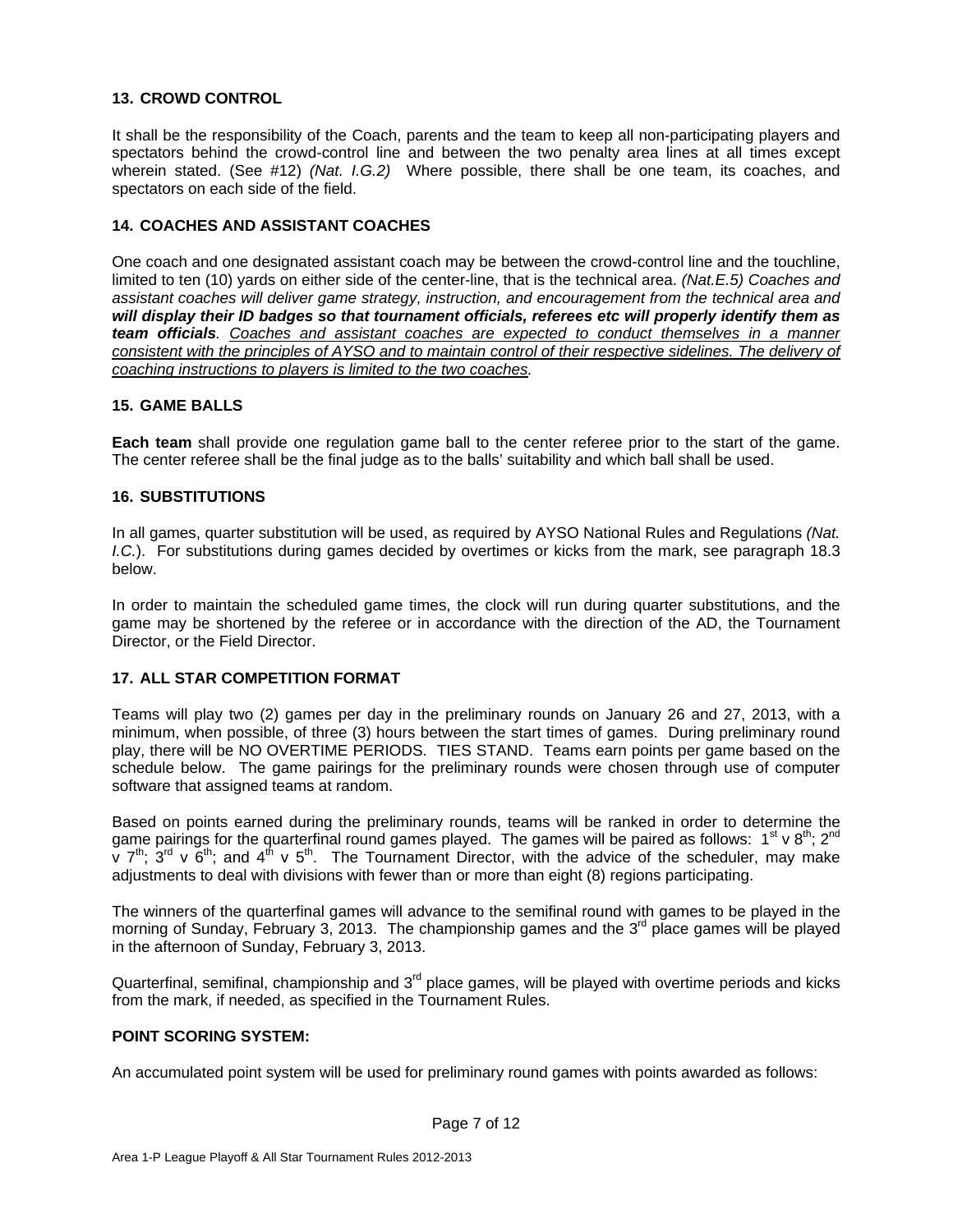#### **13. CROWD CONTROL**

It shall be the responsibility of the Coach, parents and the team to keep all non-participating players and spectators behind the crowd-control line and between the two penalty area lines at all times except wherein stated. (See #12) *(Nat. I.G.2)* Where possible, there shall be one team, its coaches, and spectators on each side of the field.

#### **14. COACHES AND ASSISTANT COACHES**

One coach and one designated assistant coach may be between the crowd-control line and the touchline, limited to ten (10) yards on either side of the center-line, that is the technical area. *(Nat.E.5) Coaches and assistant coaches will deliver game strategy, instruction, and encouragement from the technical area and will display their ID badges so that tournament officials, referees etc will properly identify them as team officials. Coaches and assistant coaches are expected to conduct themselves in a manner consistent with the principles of AYSO and to maintain control of their respective sidelines. The delivery of coaching instructions to players is limited to the two coaches.*

#### **15. GAME BALLS**

**Each team** shall provide one regulation game ball to the center referee prior to the start of the game. The center referee shall be the final judge as to the balls' suitability and which ball shall be used.

#### **16. SUBSTITUTIONS**

In all games, quarter substitution will be used, as required by AYSO National Rules and Regulations *(Nat. I.C.*). For substitutions during games decided by overtimes or kicks from the mark, see paragraph 18.3 below.

In order to maintain the scheduled game times, the clock will run during quarter substitutions, and the game may be shortened by the referee or in accordance with the direction of the AD, the Tournament Director, or the Field Director.

#### **17. ALL STAR COMPETITION FORMAT**

Teams will play two (2) games per day in the preliminary rounds on January 26 and 27, 2013, with a minimum, when possible, of three (3) hours between the start times of games. During preliminary round play, there will be NO OVERTIME PERIODS. TIES STAND. Teams earn points per game based on the schedule below. The game pairings for the preliminary rounds were chosen through use of computer software that assigned teams at random.

Based on points earned during the preliminary rounds, teams will be ranked in order to determine the game pairings for the quarterfinal round games played. The games will be paired as follows:  $1^{st} \vee 8^{th}$ ;  $2^{nd}$  $\check{v}$  7<sup>th</sup>; 3<sup>rd</sup> v  $\check{6}$ <sup>th</sup>; and 4<sup>th</sup> v 5<sup>th</sup>. The Tournament Director, with the advice of the scheduler, may make adjustments to deal with divisions with fewer than or more than eight (8) regions participating.

The winners of the quarterfinal games will advance to the semifinal round with games to be played in the morning of Sunday, February 3, 2013. The championship games and the  $3<sup>rd</sup>$  place games will be played in the afternoon of Sunday, February 3, 2013.

Quarterfinal, semifinal, championship and  $3<sup>rd</sup>$  place games, will be played with overtime periods and kicks from the mark, if needed, as specified in the Tournament Rules.

#### **POINT SCORING SYSTEM:**

An accumulated point system will be used for preliminary round games with points awarded as follows: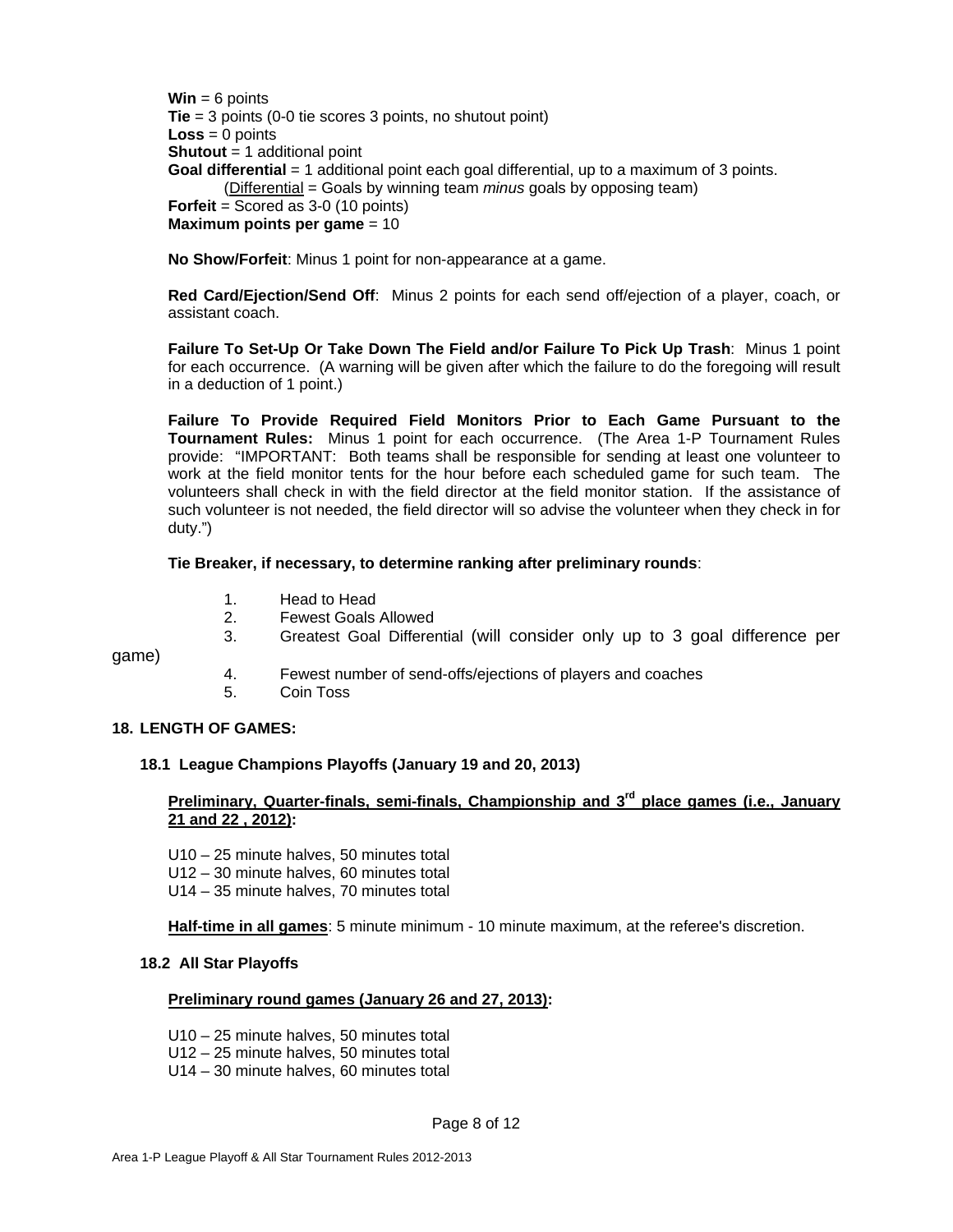**Win** = 6 points **Tie** = 3 points (0-0 tie scores 3 points, no shutout point)  $Loss = 0$  points **Shutout** = 1 additional point **Goal differential** = 1 additional point each goal differential, up to a maximum of 3 points. (Differential = Goals by winning team *minus* goals by opposing team) **Forfeit** = Scored as 3-0 (10 points) **Maximum points per game** = 10

**No Show/Forfeit**: Minus 1 point for non-appearance at a game.

**Red Card/Ejection/Send Off**: Minus 2 points for each send off/ejection of a player, coach, or assistant coach.

**Failure To Set-Up Or Take Down The Field and/or Failure To Pick Up Trash**: Minus 1 point for each occurrence. (A warning will be given after which the failure to do the foregoing will result in a deduction of 1 point.)

**Failure To Provide Required Field Monitors Prior to Each Game Pursuant to the Tournament Rules:** Minus 1 point for each occurrence. (The Area 1-P Tournament Rules provide: "IMPORTANT: Both teams shall be responsible for sending at least one volunteer to work at the field monitor tents for the hour before each scheduled game for such team. The volunteers shall check in with the field director at the field monitor station. If the assistance of such volunteer is not needed, the field director will so advise the volunteer when they check in for duty.")

#### **Tie Breaker, if necessary, to determine ranking after preliminary rounds**:

- 1. Head to Head
- 2. Fewest Goals Allowed
- 3. Greatest Goal Differential (will consider only up to 3 goal difference per

game)

- 4. Fewest number of send-offs/ejections of players and coaches
- 5. Coin Toss

### **18. LENGTH OF GAMES:**

#### **18.1 League Champions Playoffs (January 19 and 20, 2013)**

# Preliminary, Quarter-finals, semi-finals, Championship and 3<sup>rd</sup> place games (i.e., January **21 and 22 , 2012):**

- U10 25 minute halves, 50 minutes total
- U12 30 minute halves, 60 minutes total
- U14 35 minute halves, 70 minutes total

**Half-time in all games**: 5 minute minimum - 10 minute maximum, at the referee's discretion.

#### **18.2 All Star Playoffs**

#### **Preliminary round games (January 26 and 27, 2013):**

- U10 25 minute halves, 50 minutes total
- U12 25 minute halves, 50 minutes total
- U14 30 minute halves, 60 minutes total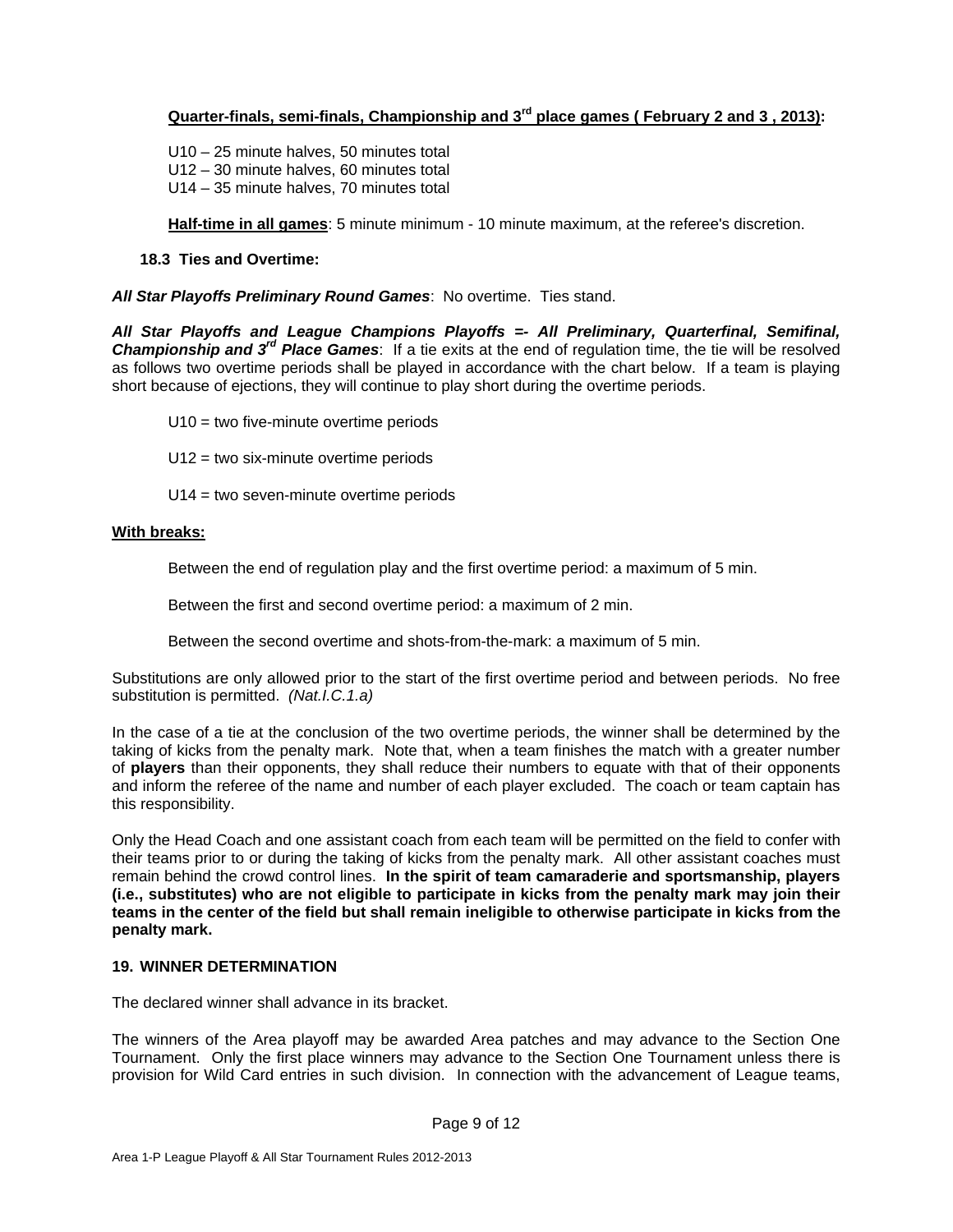# **Quarter-finals, semi-finals, Championship and 3rd place games ( February 2 and 3 , 2013):**

 U10 – 25 minute halves, 50 minutes total U12 – 30 minute halves, 60 minutes total U14 – 35 minute halves, 70 minutes total

**Half-time in all games**: 5 minute minimum - 10 minute maximum, at the referee's discretion.

#### **18.3 Ties and Overtime:**

*All Star Playoffs Preliminary Round Games*: No overtime. Ties stand.

*All Star Playoffs and League Champions Playoffs =- All Preliminary, Quarterfinal, Semifinal, Championship and 3rd Place Games*: If a tie exits at the end of regulation time, the tie will be resolved as follows two overtime periods shall be played in accordance with the chart below. If a team is playing short because of ejections, they will continue to play short during the overtime periods.

U10 = two five-minute overtime periods

U12 = two six-minute overtime periods

U14 = two seven-minute overtime periods

#### **With breaks:**

Between the end of regulation play and the first overtime period: a maximum of 5 min.

Between the first and second overtime period: a maximum of 2 min.

Between the second overtime and shots-from-the-mark: a maximum of 5 min.

Substitutions are only allowed prior to the start of the first overtime period and between periods. No free substitution is permitted. *(Nat.I.C.1.a)* 

In the case of a tie at the conclusion of the two overtime periods, the winner shall be determined by the taking of kicks from the penalty mark. Note that, when a team finishes the match with a greater number of **players** than their opponents, they shall reduce their numbers to equate with that of their opponents and inform the referee of the name and number of each player excluded. The coach or team captain has this responsibility.

Only the Head Coach and one assistant coach from each team will be permitted on the field to confer with their teams prior to or during the taking of kicks from the penalty mark. All other assistant coaches must remain behind the crowd control lines. **In the spirit of team camaraderie and sportsmanship, players (i.e., substitutes) who are not eligible to participate in kicks from the penalty mark may join their teams in the center of the field but shall remain ineligible to otherwise participate in kicks from the penalty mark.**

# **19. WINNER DETERMINATION**

The declared winner shall advance in its bracket.

The winners of the Area playoff may be awarded Area patches and may advance to the Section One Tournament. Only the first place winners may advance to the Section One Tournament unless there is provision for Wild Card entries in such division. In connection with the advancement of League teams,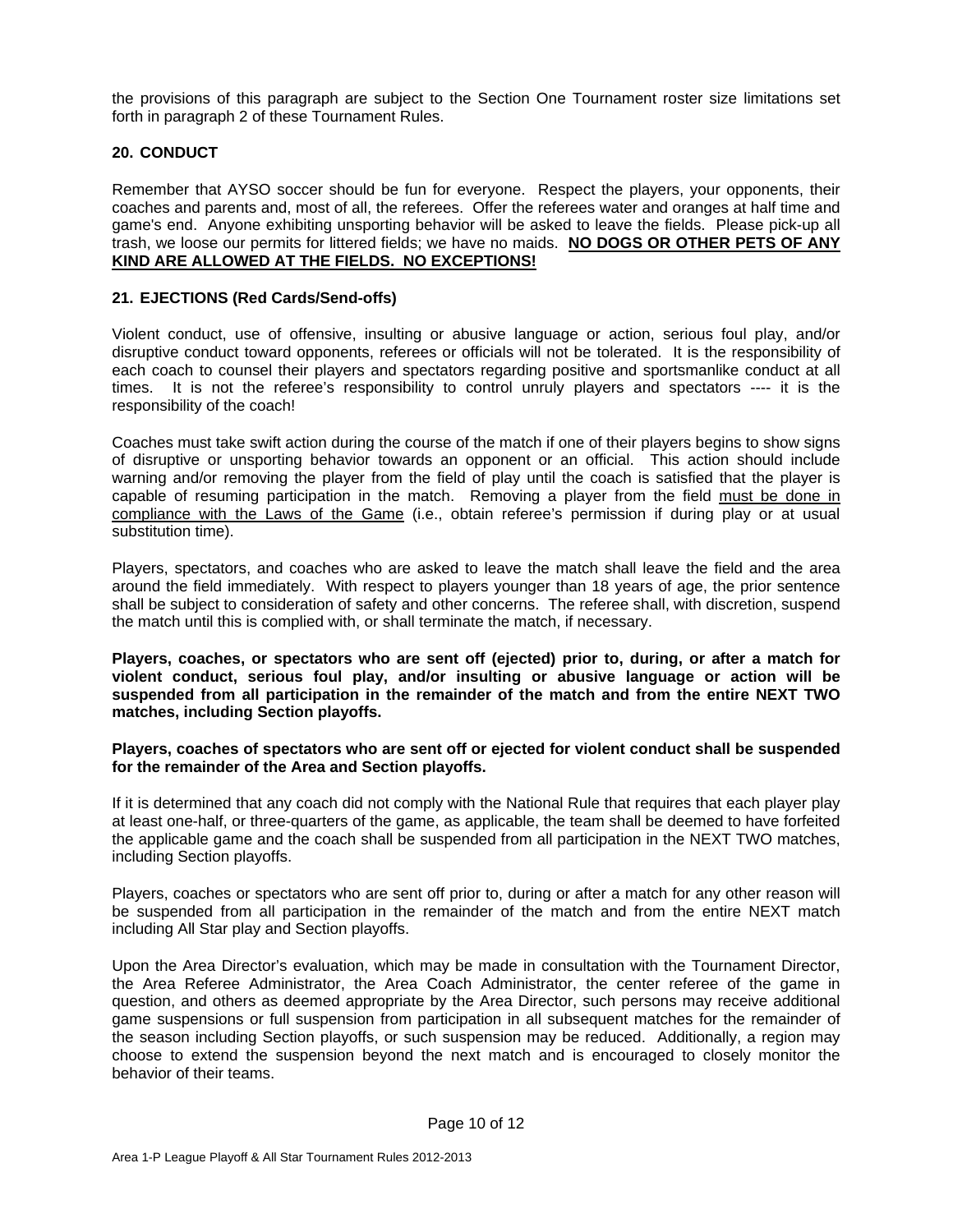the provisions of this paragraph are subject to the Section One Tournament roster size limitations set forth in paragraph 2 of these Tournament Rules.

# **20. CONDUCT**

Remember that AYSO soccer should be fun for everyone. Respect the players, your opponents, their coaches and parents and, most of all, the referees. Offer the referees water and oranges at half time and game's end. Anyone exhibiting unsporting behavior will be asked to leave the fields. Please pick-up all trash, we loose our permits for littered fields; we have no maids. **NO DOGS OR OTHER PETS OF ANY KIND ARE ALLOWED AT THE FIELDS. NO EXCEPTIONS!**

#### **21. EJECTIONS (Red Cards/Send-offs)**

Violent conduct, use of offensive, insulting or abusive language or action, serious foul play, and/or disruptive conduct toward opponents, referees or officials will not be tolerated. It is the responsibility of each coach to counsel their players and spectators regarding positive and sportsmanlike conduct at all times. It is not the referee's responsibility to control unruly players and spectators ---- it is the responsibility of the coach!

Coaches must take swift action during the course of the match if one of their players begins to show signs of disruptive or unsporting behavior towards an opponent or an official. This action should include warning and/or removing the player from the field of play until the coach is satisfied that the player is capable of resuming participation in the match. Removing a player from the field must be done in compliance with the Laws of the Game (i.e., obtain referee's permission if during play or at usual substitution time).

Players, spectators, and coaches who are asked to leave the match shall leave the field and the area around the field immediately. With respect to players younger than 18 years of age, the prior sentence shall be subject to consideration of safety and other concerns. The referee shall, with discretion, suspend the match until this is complied with, or shall terminate the match, if necessary.

**Players, coaches, or spectators who are sent off (ejected) prior to, during, or after a match for violent conduct, serious foul play, and/or insulting or abusive language or action will be suspended from all participation in the remainder of the match and from the entire NEXT TWO matches, including Section playoffs.**

#### **Players, coaches of spectators who are sent off or ejected for violent conduct shall be suspended for the remainder of the Area and Section playoffs.**

If it is determined that any coach did not comply with the National Rule that requires that each player play at least one-half, or three-quarters of the game, as applicable, the team shall be deemed to have forfeited the applicable game and the coach shall be suspended from all participation in the NEXT TWO matches, including Section playoffs.

Players, coaches or spectators who are sent off prior to, during or after a match for any other reason will be suspended from all participation in the remainder of the match and from the entire NEXT match including All Star play and Section playoffs.

Upon the Area Director's evaluation, which may be made in consultation with the Tournament Director, the Area Referee Administrator, the Area Coach Administrator, the center referee of the game in question, and others as deemed appropriate by the Area Director, such persons may receive additional game suspensions or full suspension from participation in all subsequent matches for the remainder of the season including Section playoffs, or such suspension may be reduced. Additionally, a region may choose to extend the suspension beyond the next match and is encouraged to closely monitor the behavior of their teams.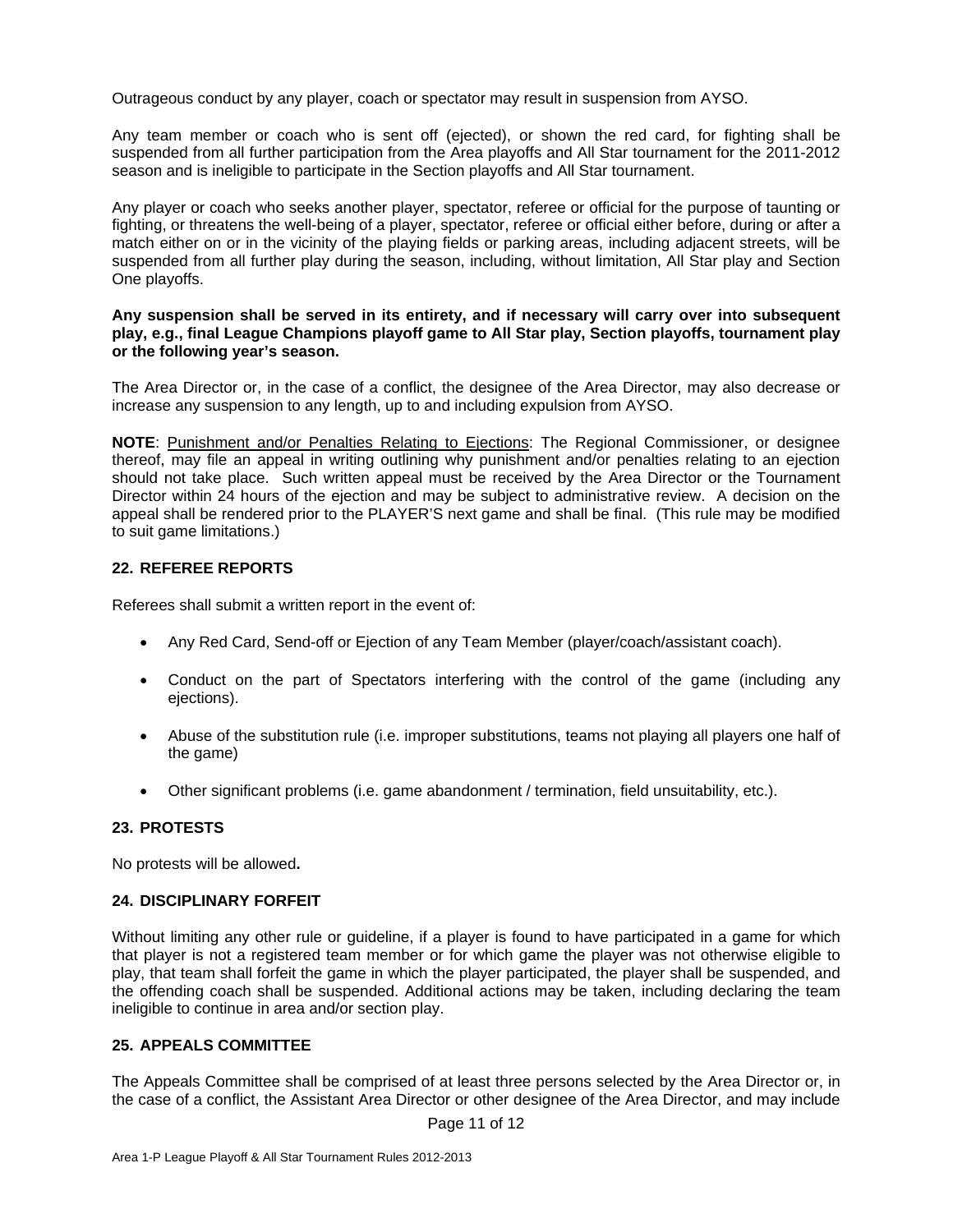Outrageous conduct by any player, coach or spectator may result in suspension from AYSO.

Any team member or coach who is sent off (ejected), or shown the red card, for fighting shall be suspended from all further participation from the Area playoffs and All Star tournament for the 2011-2012 season and is ineligible to participate in the Section playoffs and All Star tournament.

Any player or coach who seeks another player, spectator, referee or official for the purpose of taunting or fighting, or threatens the well-being of a player, spectator, referee or official either before, during or after a match either on or in the vicinity of the playing fields or parking areas, including adjacent streets, will be suspended from all further play during the season, including, without limitation, All Star play and Section One playoffs.

#### **Any suspension shall be served in its entirety, and if necessary will carry over into subsequent play, e.g., final League Champions playoff game to All Star play, Section playoffs, tournament play or the following year's season.**

The Area Director or, in the case of a conflict, the designee of the Area Director, may also decrease or increase any suspension to any length, up to and including expulsion from AYSO.

**NOTE**: Punishment and/or Penalties Relating to Ejections: The Regional Commissioner, or designee thereof, may file an appeal in writing outlining why punishment and/or penalties relating to an ejection should not take place. Such written appeal must be received by the Area Director or the Tournament Director within 24 hours of the ejection and may be subject to administrative review. A decision on the appeal shall be rendered prior to the PLAYER'S next game and shall be final. (This rule may be modified to suit game limitations.)

# **22. REFEREE REPORTS**

Referees shall submit a written report in the event of:

- Any Red Card, Send-off or Ejection of any Team Member (player/coach/assistant coach).
- Conduct on the part of Spectators interfering with the control of the game (including any ejections).
- Abuse of the substitution rule (i.e. improper substitutions, teams not playing all players one half of the game)
- Other significant problems (i.e. game abandonment / termination, field unsuitability, etc.).

#### **23. PROTESTS**

No protests will be allowed**.** 

#### **24. DISCIPLINARY FORFEIT**

Without limiting any other rule or guideline, if a player is found to have participated in a game for which that player is not a registered team member or for which game the player was not otherwise eligible to play, that team shall forfeit the game in which the player participated, the player shall be suspended, and the offending coach shall be suspended. Additional actions may be taken, including declaring the team ineligible to continue in area and/or section play.

# **25. APPEALS COMMITTEE**

The Appeals Committee shall be comprised of at least three persons selected by the Area Director or, in the case of a conflict, the Assistant Area Director or other designee of the Area Director, and may include